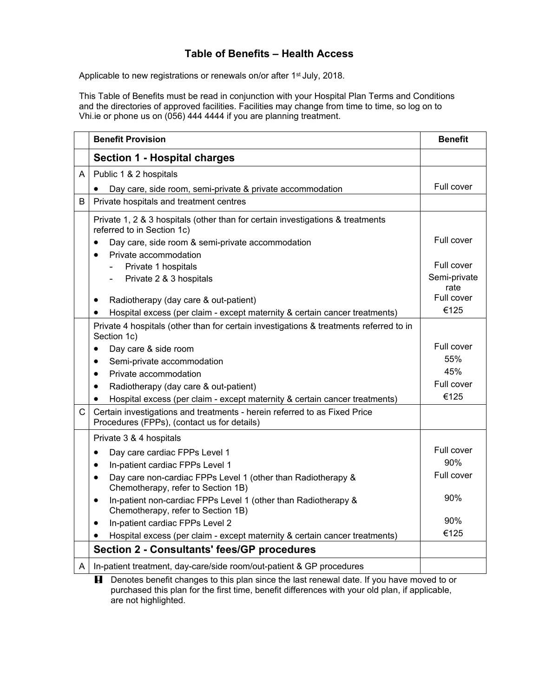## **Table of Benefits – Health Access**

Applicable to new registrations or renewals on/or after 1<sup>st</sup> July, 2018.

This Table of Benefits must be read in conjunction with your Hospital Plan Terms and Conditions and the directories of approved facilities. Facilities may change from time to time, so log on to Vhi.ie or phone us on (056) 444 4444 if you are planning treatment.

|   | <b>Benefit Provision</b>                                                                                                 | <b>Benefit</b>     |
|---|--------------------------------------------------------------------------------------------------------------------------|--------------------|
|   | <b>Section 1 - Hospital charges</b>                                                                                      |                    |
| A | Public 1 & 2 hospitals                                                                                                   |                    |
|   | Day care, side room, semi-private & private accommodation                                                                | Full cover         |
| B | Private hospitals and treatment centres                                                                                  |                    |
|   | Private 1, 2 & 3 hospitals (other than for certain investigations & treatments<br>referred to in Section 1c)             |                    |
|   | Day care, side room & semi-private accommodation<br>$\bullet$                                                            | Full cover         |
|   | Private accommodation<br>$\bullet$                                                                                       |                    |
|   | Private 1 hospitals                                                                                                      | Full cover         |
|   | Private 2 & 3 hospitals                                                                                                  | Semi-private       |
|   |                                                                                                                          | rate<br>Full cover |
|   | Radiotherapy (day care & out-patient)<br>$\bullet$                                                                       | €125               |
|   | Hospital excess (per claim - except maternity & certain cancer treatments)<br>$\bullet$                                  |                    |
|   | Private 4 hospitals (other than for certain investigations & treatments referred to in<br>Section 1c)                    |                    |
|   | Day care & side room<br>$\bullet$                                                                                        | Full cover         |
|   | Semi-private accommodation<br>$\bullet$                                                                                  | 55%                |
|   | Private accommodation<br>٠                                                                                               | 45%                |
|   | Radiotherapy (day care & out-patient)<br>$\bullet$                                                                       | Full cover         |
|   | Hospital excess (per claim - except maternity & certain cancer treatments)                                               | €125               |
| C | Certain investigations and treatments - herein referred to as Fixed Price<br>Procedures (FPPs), (contact us for details) |                    |
|   | Private 3 & 4 hospitals                                                                                                  |                    |
|   | Day care cardiac FPPs Level 1<br>$\bullet$                                                                               | Full cover         |
|   | In-patient cardiac FPPs Level 1<br>$\bullet$                                                                             | 90%                |
|   | Day care non-cardiac FPPs Level 1 (other than Radiotherapy &<br>٠<br>Chemotherapy, refer to Section 1B)                  | Full cover         |
|   | In-patient non-cardiac FPPs Level 1 (other than Radiotherapy &<br>$\bullet$<br>Chemotherapy, refer to Section 1B)        | 90%                |
|   | In-patient cardiac FPPs Level 2                                                                                          | 90%                |
|   | Hospital excess (per claim - except maternity & certain cancer treatments)                                               | €125               |
|   | Section 2 - Consultants' fees/GP procedures                                                                              |                    |
| A | In-patient treatment, day-care/side room/out-patient & GP procedures                                                     |                    |

**H** Denotes benefit changes to this plan since the last renewal date. If you have moved to or purchased this plan for the first time, benefit differences with your old plan, if applicable, are not highlighted.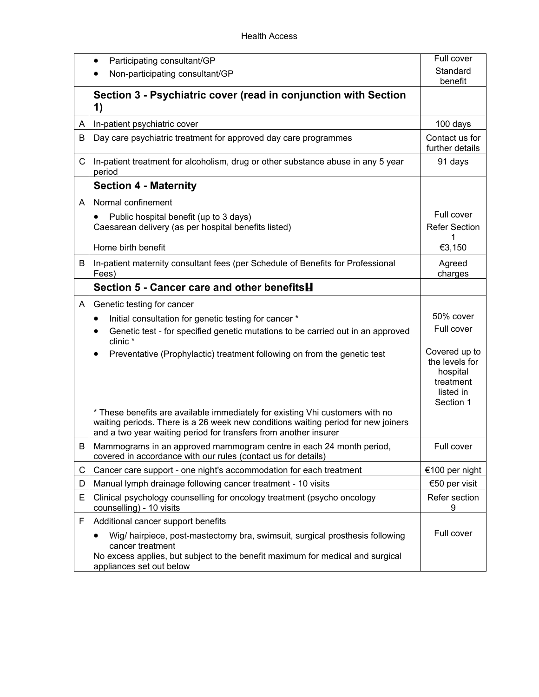|    | Participating consultant/GP<br>٠                                                                                                                                                                                                       | Full cover                                                                         |
|----|----------------------------------------------------------------------------------------------------------------------------------------------------------------------------------------------------------------------------------------|------------------------------------------------------------------------------------|
|    | Non-participating consultant/GP                                                                                                                                                                                                        | Standard<br>benefit                                                                |
|    | Section 3 - Psychiatric cover (read in conjunction with Section<br>1)                                                                                                                                                                  |                                                                                    |
| A  | In-patient psychiatric cover                                                                                                                                                                                                           | 100 days                                                                           |
| B  | Day care psychiatric treatment for approved day care programmes                                                                                                                                                                        | Contact us for<br>further details                                                  |
| C. | In-patient treatment for alcoholism, drug or other substance abuse in any 5 year<br>period                                                                                                                                             | 91 days                                                                            |
|    | <b>Section 4 - Maternity</b>                                                                                                                                                                                                           |                                                                                    |
| A  | Normal confinement                                                                                                                                                                                                                     |                                                                                    |
|    | Public hospital benefit (up to 3 days)<br>Caesarean delivery (as per hospital benefits listed)                                                                                                                                         | Full cover<br><b>Refer Section</b>                                                 |
|    | Home birth benefit                                                                                                                                                                                                                     | €3,150                                                                             |
| B  | In-patient maternity consultant fees (per Schedule of Benefits for Professional<br>Fees)                                                                                                                                               | Agreed<br>charges                                                                  |
|    | Section 5 - Cancer care and other benefits <b>H</b>                                                                                                                                                                                    |                                                                                    |
| A  | Genetic testing for cancer                                                                                                                                                                                                             |                                                                                    |
|    | Initial consultation for genetic testing for cancer *<br>$\bullet$                                                                                                                                                                     | 50% cover                                                                          |
|    | Genetic test - for specified genetic mutations to be carried out in an approved<br>clinic *                                                                                                                                            | Full cover                                                                         |
|    | Preventative (Prophylactic) treatment following on from the genetic test                                                                                                                                                               | Covered up to<br>the levels for<br>hospital<br>treatment<br>listed in<br>Section 1 |
|    | * These benefits are available immediately for existing Vhi customers with no<br>waiting periods. There is a 26 week new conditions waiting period for new joiners<br>and a two year waiting period for transfers from another insurer |                                                                                    |
| B  | Mammograms in an approved mammogram centre in each 24 month period,<br>covered in accordance with our rules (contact us for details)                                                                                                   | Full cover                                                                         |
| C  | Cancer care support - one night's accommodation for each treatment                                                                                                                                                                     | €100 per night                                                                     |
| D  | Manual lymph drainage following cancer treatment - 10 visits                                                                                                                                                                           | €50 per visit                                                                      |
| Е  | Clinical psychology counselling for oncology treatment (psycho oncology<br>counselling) - 10 visits                                                                                                                                    | Refer section<br>9                                                                 |
| F  | Additional cancer support benefits                                                                                                                                                                                                     |                                                                                    |
|    | Wig/ hairpiece, post-mastectomy bra, swimsuit, surgical prosthesis following<br>$\bullet$<br>cancer treatment<br>No excess applies, but subject to the benefit maximum for medical and surgical<br>appliances set out below            | Full cover                                                                         |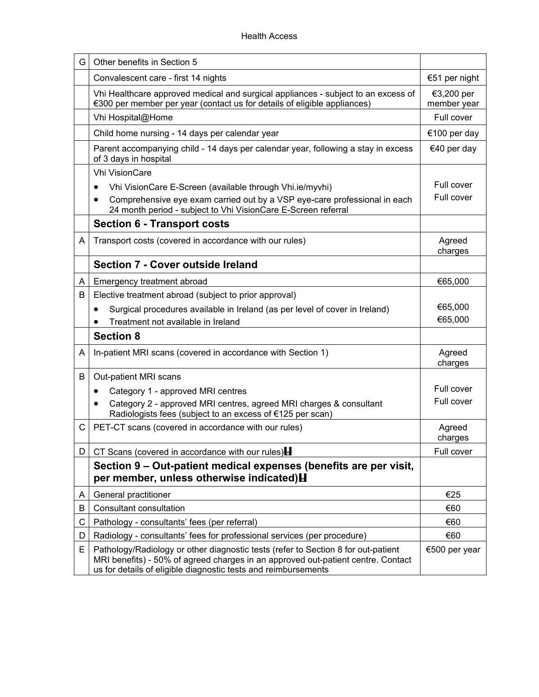| G. | Other benefits in Section 5                                                                                                                                                                                                             |                           |
|----|-----------------------------------------------------------------------------------------------------------------------------------------------------------------------------------------------------------------------------------------|---------------------------|
|    | Convalescent care - first 14 nights                                                                                                                                                                                                     | €51 per night             |
|    | Vhi Healthcare approved medical and surgical appliances - subject to an excess of<br>€300 per member per year (contact us for details of eligible appliances)                                                                           | €3,200 per<br>member year |
|    | Vhi Hospital@Home                                                                                                                                                                                                                       | Full cover                |
|    | Child home nursing - 14 days per calendar year                                                                                                                                                                                          | €100 per day              |
|    | Parent accompanying child - 14 days per calendar year, following a stay in excess<br>of 3 days in hospital                                                                                                                              | €40 per day               |
|    | <b>Vhi VisionCare</b>                                                                                                                                                                                                                   |                           |
|    | Vhi VisionCare E-Screen (available through Vhi.ie/myvhi)<br>$\bullet$                                                                                                                                                                   | Full cover                |
|    | Comprehensive eye exam carried out by a VSP eye-care professional in each<br>$\bullet$<br>24 month period - subject to Vhi VisionCare E-Screen referral                                                                                 | Full cover                |
|    | <b>Section 6 - Transport costs</b>                                                                                                                                                                                                      |                           |
| A  | Transport costs (covered in accordance with our rules)                                                                                                                                                                                  | Agreed<br>charges         |
|    | Section 7 - Cover outside Ireland                                                                                                                                                                                                       |                           |
| A  | Emergency treatment abroad                                                                                                                                                                                                              | €65,000                   |
| B  | Elective treatment abroad (subject to prior approval)                                                                                                                                                                                   |                           |
|    | Surgical procedures available in Ireland (as per level of cover in Ireland)<br>$\bullet$                                                                                                                                                | €65,000                   |
|    | Treatment not available in Ireland                                                                                                                                                                                                      | €65,000                   |
|    | <b>Section 8</b>                                                                                                                                                                                                                        |                           |
| A  | In-patient MRI scans (covered in accordance with Section 1)                                                                                                                                                                             | Agreed<br>charges         |
| B  | Out-patient MRI scans                                                                                                                                                                                                                   |                           |
|    | Category 1 - approved MRI centres                                                                                                                                                                                                       | Full cover                |
|    | Category 2 - approved MRI centres, agreed MRI charges & consultant<br>٠<br>Radiologists fees (subject to an excess of €125 per scan)                                                                                                    | Full cover                |
| C. | PET-CT scans (covered in accordance with our rules)                                                                                                                                                                                     | Agreed<br>charges         |
| D  | CT Scans (covered in accordance with our rules) $\blacksquare$                                                                                                                                                                          | Full cover                |
|    | Section 9 – Out-patient medical expenses (benefits are per visit,<br>per member, unless otherwise indicated) H                                                                                                                          |                           |
| A  | General practitioner                                                                                                                                                                                                                    | €25                       |
| B  | Consultant consultation                                                                                                                                                                                                                 | €60                       |
| С  | Pathology - consultants' fees (per referral)                                                                                                                                                                                            | €60                       |
| D  | Radiology - consultants' fees for professional services (per procedure)                                                                                                                                                                 | €60                       |
| Е  | Pathology/Radiology or other diagnostic tests (refer to Section 8 for out-patient<br>MRI benefits) - 50% of agreed charges in an approved out-patient centre. Contact<br>us for details of eligible diagnostic tests and reimbursements | €500 per year             |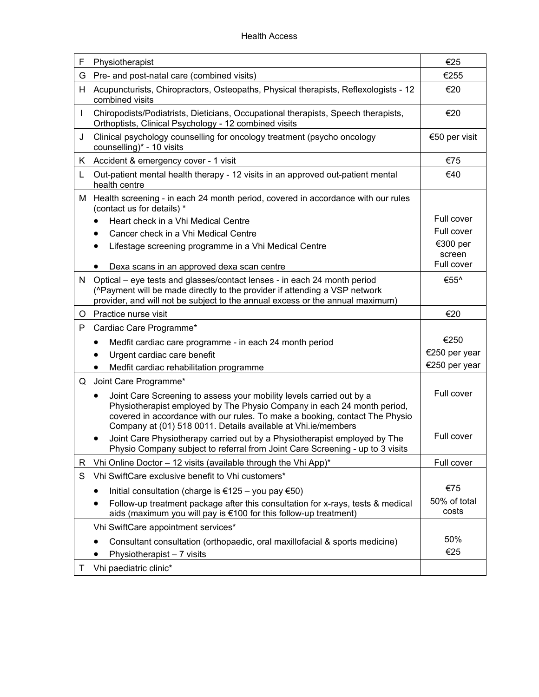| F            | Physiotherapist                                                                                                                                                                                                                                                                                              | €25                   |
|--------------|--------------------------------------------------------------------------------------------------------------------------------------------------------------------------------------------------------------------------------------------------------------------------------------------------------------|-----------------------|
| G            | Pre- and post-natal care (combined visits)                                                                                                                                                                                                                                                                   | €255                  |
| H            | Acupuncturists, Chiropractors, Osteopaths, Physical therapists, Reflexologists - 12<br>combined visits                                                                                                                                                                                                       | €20                   |
| $\mathbf{I}$ | Chiropodists/Podiatrists, Dieticians, Occupational therapists, Speech therapists,<br>Orthoptists, Clinical Psychology - 12 combined visits                                                                                                                                                                   | €20                   |
| J            | Clinical psychology counselling for oncology treatment (psycho oncology<br>counselling)* - 10 visits                                                                                                                                                                                                         | €50 per visit         |
| K.           | Accident & emergency cover - 1 visit                                                                                                                                                                                                                                                                         | €75                   |
| L            | Out-patient mental health therapy - 12 visits in an approved out-patient mental<br>health centre                                                                                                                                                                                                             | €40                   |
| м            | Health screening - in each 24 month period, covered in accordance with our rules<br>(contact us for details) *                                                                                                                                                                                               |                       |
|              | Heart check in a Vhi Medical Centre<br>$\bullet$                                                                                                                                                                                                                                                             | Full cover            |
|              | Cancer check in a Vhi Medical Centre<br>$\bullet$                                                                                                                                                                                                                                                            | Full cover            |
|              | Lifestage screening programme in a Vhi Medical Centre<br>٠                                                                                                                                                                                                                                                   | €300 per<br>screen    |
|              | Dexa scans in an approved dexa scan centre<br>٠                                                                                                                                                                                                                                                              | Full cover            |
| N.           | Optical – eye tests and glasses/contact lenses - in each 24 month period                                                                                                                                                                                                                                     | €55^                  |
|              | (^Payment will be made directly to the provider if attending a VSP network<br>provider, and will not be subject to the annual excess or the annual maximum)                                                                                                                                                  |                       |
| O            | Practice nurse visit                                                                                                                                                                                                                                                                                         | €20                   |
| P            | Cardiac Care Programme*                                                                                                                                                                                                                                                                                      |                       |
|              | Medfit cardiac care programme - in each 24 month period<br>$\bullet$                                                                                                                                                                                                                                         | €250                  |
|              | Urgent cardiac care benefit                                                                                                                                                                                                                                                                                  | €250 per year         |
|              | Medfit cardiac rehabilitation programme                                                                                                                                                                                                                                                                      | €250 per year         |
| Q            | Joint Care Programme*                                                                                                                                                                                                                                                                                        |                       |
|              | Joint Care Screening to assess your mobility levels carried out by a<br>$\bullet$<br>Physiotherapist employed by The Physio Company in each 24 month period,<br>covered in accordance with our rules. To make a booking, contact The Physio<br>Company at (01) 518 0011. Details available at Vhi.ie/members | Full cover            |
|              | Joint Care Physiotherapy carried out by a Physiotherapist employed by The<br>٠<br>Physio Company subject to referral from Joint Care Screening - up to 3 visits                                                                                                                                              | Full cover            |
| R            | Vhi Online Doctor - 12 visits (available through the Vhi App)*                                                                                                                                                                                                                                               | Full cover            |
| S            | Vhi SwiftCare exclusive benefit to Vhi customers*                                                                                                                                                                                                                                                            |                       |
|              | Initial consultation (charge is €125 – you pay €50)<br>٠                                                                                                                                                                                                                                                     | €75                   |
|              | Follow-up treatment package after this consultation for x-rays, tests & medical<br>٠<br>aids (maximum you will pay is €100 for this follow-up treatment)                                                                                                                                                     | 50% of total<br>costs |
|              | Vhi SwiftCare appointment services*                                                                                                                                                                                                                                                                          |                       |
|              | Consultant consultation (orthopaedic, oral maxillofacial & sports medicine)<br>٠                                                                                                                                                                                                                             | 50%                   |
|              | Physiotherapist - 7 visits                                                                                                                                                                                                                                                                                   | €25                   |
| Τ            | Vhi paediatric clinic*                                                                                                                                                                                                                                                                                       |                       |